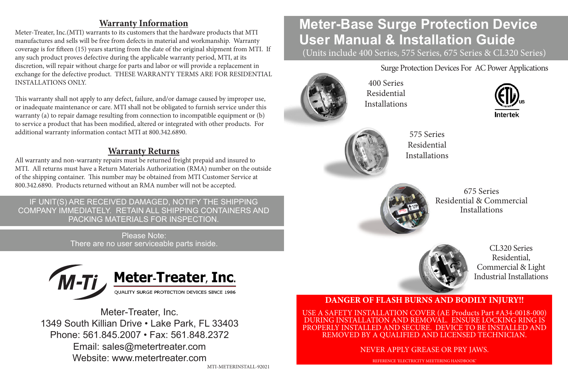### **Warranty Information**

Meter-Treater, Inc.(MTI) warrants to its customers that the hardware products that MTI manufactures and sells will be free from defects in material and workmanship. Warranty coverage is for fifteen (15) years starting from the date of the original shipment from MTI. If any such product proves defective during the applicable warranty period, MTI, at its discretion, will repair without charge for parts and labor or will provide a replacement in exchange for the defective product. THESE WARRANTY TERMS ARE FOR RESIDENTIAL INSTALLATIONS ONLY.

This warranty shall not apply to any defect, failure, and/or damage caused by improper use, or inadequate maintenance or care. MTI shall not be obligated to furnish service under this warranty (a) to repair damage resulting from connection to incompatible equipment or (b) to service a product that has been modified, altered or integrated with other products. For additional warranty information contact MTI at 800.342.6890.

#### **Warranty Returns**

All warranty and non-warranty repairs must be returned freight prepaid and insured to MTI. All returns must have a Return Materials Authorization (RMA) number on the outside of the shipping container. This number may be obtained from MTI Customer Service at 800.342.6890. Products returned without an RMA number will not be accepted.

IF UNIT(S) ARE RECEIVED DAMAGED, NOTIFY THE SHIPPING COMPANY IMMEDIATELY. RETAIN ALL SHIPPING CONTAINERS AND PACKING MATERIALS FOR INSPECTION.

> Please Note: There are no user serviceable parts inside.



Meter-Treater, Inc. 1349 South Killian Drive • Lake Park, FL 33403 Phone: 561.845.2007 • Fax: 561.848.2372 Email: sales@metertreater.com Website: www.metertreater.com

# **Meter-Base Surge Protection Device User Manual & Installation Guide**

(Units include 400 Series, 575 Series, 675 Series & CL320 Series)

Surge Protection Devices For AC Power Applications



400 Series Residential Installations





575 Series Residential Installations



675 Series Residential & Commercial Installations



CL320 Series Residential, Commercial & Light Industrial Installations

#### **DANGER OF FLASH BURNS AND BODILY INJURY!!**

USE A SAFETY INSTALLATION COVER (AE Products Part #A34-0018-000) DURING INSTALLATION AND REMOVAL. ENSURE LOCKING RING IS PROPERLY INSTALLED AND SECURE. DEVICE TO BE INSTALLED AND REMOVED BY A QUALIFIED AND LICENSED TECHNICIAN.

NEVER APPLY GREASE OR PRY JAWS.

REFERENCE 'ELECTRICITY MEETERING HANDBOOK'